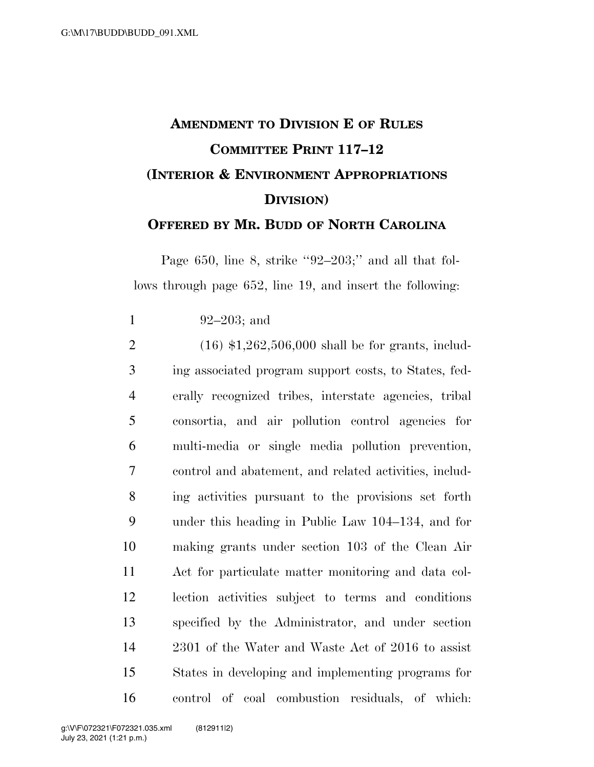## **AMENDMENT TO DIVISION E OF RULES COMMITTEE PRINT 117–12 (INTERIOR & ENVIRONMENT APPROPRIATIONS DIVISION) OFFERED BY MR. BUDD OF NORTH CAROLINA**

Page 650, line 8, strike ''92–203;'' and all that follows through page 652, line 19, and insert the following:

92–203; and

 (16) \$1,262,506,000 shall be for grants, includ- ing associated program support costs, to States, fed- erally recognized tribes, interstate agencies, tribal consortia, and air pollution control agencies for multi-media or single media pollution prevention, control and abatement, and related activities, includ- ing activities pursuant to the provisions set forth under this heading in Public Law 104–134, and for making grants under section 103 of the Clean Air Act for particulate matter monitoring and data col- lection activities subject to terms and conditions specified by the Administrator, and under section 2301 of the Water and Waste Act of 2016 to assist States in developing and implementing programs for control of coal combustion residuals, of which: